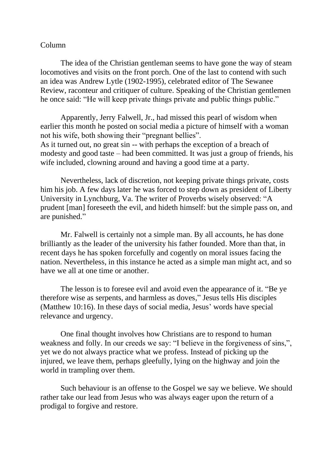## Column

The idea of the Christian gentleman seems to have gone the way of steam locomotives and visits on the front porch. One of the last to contend with such an idea was Andrew Lytle (1902-1995), celebrated editor of The Sewanee Review, raconteur and critiquer of culture. Speaking of the Christian gentlemen he once said: "He will keep private things private and public things public."

Apparently, Jerry Falwell, Jr., had missed this pearl of wisdom when earlier this month he posted on social media a picture of himself with a woman not his wife, both showing their "pregnant bellies". As it turned out, no great sin -- with perhaps the exception of a breach of

modesty and good taste – had been committed. It was just a group of friends, his wife included, clowning around and having a good time at a party.

Nevertheless, lack of discretion, not keeping private things private, costs him his job. A few days later he was forced to step down as president of Liberty University in Lynchburg, Va. The writer of Proverbs wisely observed: "A prudent [man] foreseeth the evil, and hideth himself: but the simple pass on, and are punished."

Mr. Falwell is certainly not a simple man. By all accounts, he has done brilliantly as the leader of the university his father founded. More than that, in recent days he has spoken forcefully and cogently on moral issues facing the nation. Nevertheless, in this instance he acted as a simple man might act, and so have we all at one time or another.

The lesson is to foresee evil and avoid even the appearance of it. "Be ye therefore wise as serpents, and harmless as doves," Jesus tells His disciples (Matthew 10:16). In these days of social media, Jesus' words have special relevance and urgency.

One final thought involves how Christians are to respond to human weakness and folly. In our creeds we say: "I believe in the forgiveness of sins,", yet we do not always practice what we profess. Instead of picking up the injured, we leave them, perhaps gleefully, lying on the highway and join the world in trampling over them.

Such behaviour is an offense to the Gospel we say we believe. We should rather take our lead from Jesus who was always eager upon the return of a prodigal to forgive and restore.